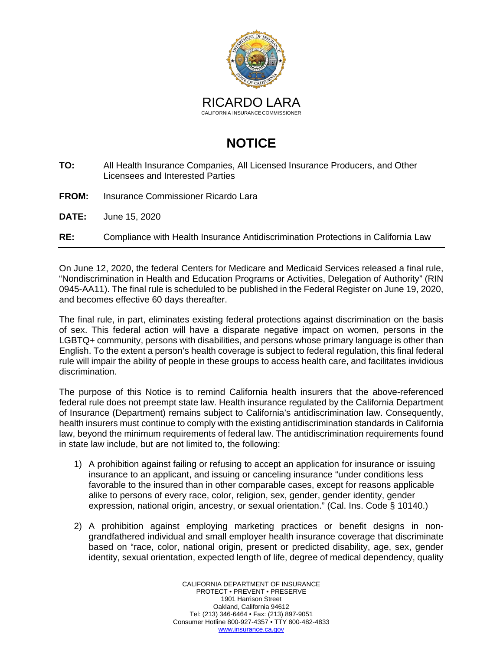

## **NOTICE**

- **TO:** All Health Insurance Companies, All Licensed Insurance Producers, and Other Licensees and Interested Parties
- **FROM:** Insurance Commissioner Ricardo Lara
- **DATE:** June 15, 2020
- **RE:** Compliance with Health Insurance Antidiscrimination Protections in California Law

On June 12, 2020, the federal Centers for Medicare and Medicaid Services released a final rule, "Nondiscrimination in Health and Education Programs or Activities, Delegation of Authority" (RIN 0945-AA11). The final rule is scheduled to be published in the Federal Register on June 19, 2020, and becomes effective 60 days thereafter.

The final rule, in part, eliminates existing federal protections against discrimination on the basis of sex. This federal action will have a disparate negative impact on women, persons in the LGBTQ+ community, persons with disabilities, and persons whose primary language is other than English. To the extent a person's health coverage is subject to federal regulation, this final federal rule will impair the ability of people in these groups to access health care, and facilitates invidious discrimination.

The purpose of this Notice is to remind California health insurers that the above-referenced federal rule does not preempt state law. Health insurance regulated by the California Department of Insurance (Department) remains subject to California's antidiscrimination law. Consequently, health insurers must continue to comply with the existing antidiscrimination standards in California law, beyond the minimum requirements of federal law. The antidiscrimination requirements found in state law include, but are not limited to, the following:

- 1) A prohibition against failing or refusing to accept an application for insurance or issuing insurance to an applicant, and issuing or canceling insurance "under conditions less favorable to the insured than in other comparable cases, except for reasons applicable alike to persons of every race, color, religion, sex, gender, gender identity, gender expression, national origin, ancestry, or sexual orientation." (Cal. Ins. Code § 10140.)
- 2) A prohibition against employing marketing practices or benefit designs in nongrandfathered individual and small employer health insurance coverage that discriminate based on "race, color, national origin, present or predicted disability, age, sex, gender identity, sexual orientation, expected length of life, degree of medical dependency, quality